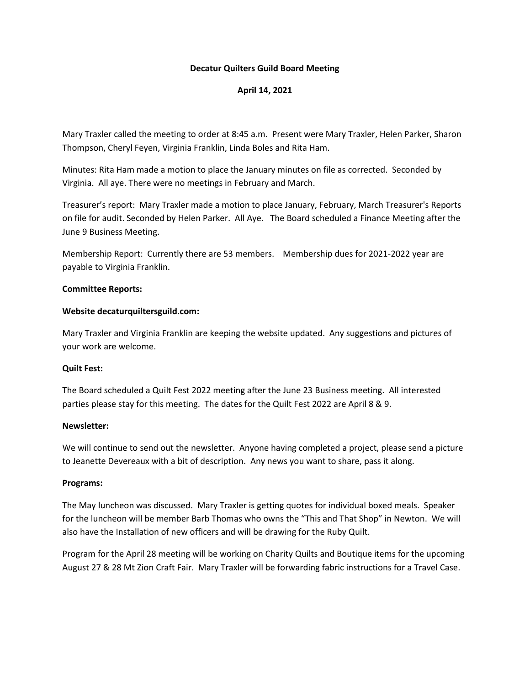## **Decatur Quilters Guild Board Meeting**

# **April 14, 2021**

Mary Traxler called the meeting to order at 8:45 a.m. Present were Mary Traxler, Helen Parker, Sharon Thompson, Cheryl Feyen, Virginia Franklin, Linda Boles and Rita Ham.

Minutes: Rita Ham made a motion to place the January minutes on file as corrected. Seconded by Virginia. All aye. There were no meetings in February and March.

Treasurer's report: Mary Traxler made a motion to place January, February, March Treasurer's Reports on file for audit. Seconded by Helen Parker. All Aye. The Board scheduled a Finance Meeting after the June 9 Business Meeting.

Membership Report: Currently there are 53 members. Membership dues for 2021-2022 year are payable to Virginia Franklin.

## **Committee Reports:**

## **Website decaturquiltersguild.com:**

Mary Traxler and Virginia Franklin are keeping the website updated. Any suggestions and pictures of your work are welcome.

# **Quilt Fest:**

The Board scheduled a Quilt Fest 2022 meeting after the June 23 Business meeting. All interested parties please stay for this meeting. The dates for the Quilt Fest 2022 are April 8 & 9.

#### **Newsletter:**

We will continue to send out the newsletter. Anyone having completed a project, please send a picture to Jeanette Devereaux with a bit of description. Any news you want to share, pass it along.

#### **Programs:**

The May luncheon was discussed. Mary Traxler is getting quotes for individual boxed meals. Speaker for the luncheon will be member Barb Thomas who owns the "This and That Shop" in Newton. We will also have the Installation of new officers and will be drawing for the Ruby Quilt.

Program for the April 28 meeting will be working on Charity Quilts and Boutique items for the upcoming August 27 & 28 Mt Zion Craft Fair. Mary Traxler will be forwarding fabric instructions for a Travel Case.